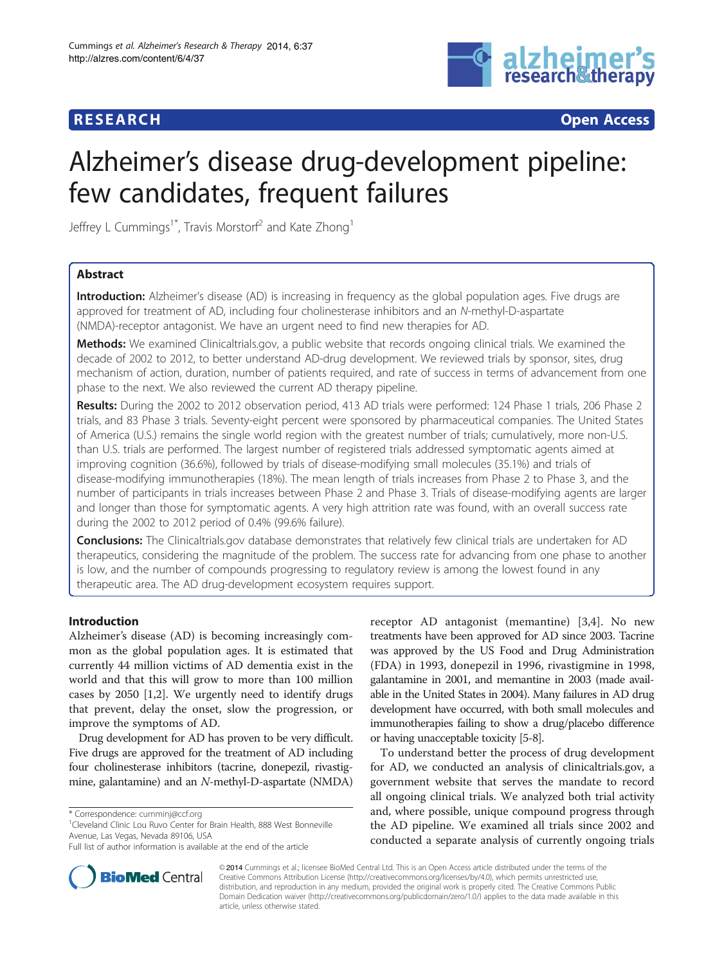## **RESEARCH CHEAR CHEAR CHEAR CHEAR CHEAR CHEAR CHEAR CHEAR CHEAR CHEAR CHEAR CHEAR CHEAR CHEAR CHEAR CHEAR CHEAR**



# Alzheimer's disease drug-development pipeline: few candidates, frequent failures

Jeffrey L Cummings<sup>1\*</sup>, Travis Morstorf<sup>2</sup> and Kate Zhong<sup>1</sup>

## Abstract

Introduction: Alzheimer's disease (AD) is increasing in frequency as the global population ages. Five drugs are approved for treatment of AD, including four cholinesterase inhibitors and an N-methyl-D-aspartate (NMDA)-receptor antagonist. We have an urgent need to find new therapies for AD.

Methods: We examined Clinicaltrials.gov, a public website that records ongoing clinical trials. We examined the decade of 2002 to 2012, to better understand AD-drug development. We reviewed trials by sponsor, sites, drug mechanism of action, duration, number of patients required, and rate of success in terms of advancement from one phase to the next. We also reviewed the current AD therapy pipeline.

Results: During the 2002 to 2012 observation period, 413 AD trials were performed: 124 Phase 1 trials, 206 Phase 2 trials, and 83 Phase 3 trials. Seventy-eight percent were sponsored by pharmaceutical companies. The United States of America (U.S.) remains the single world region with the greatest number of trials; cumulatively, more non-U.S. than U.S. trials are performed. The largest number of registered trials addressed symptomatic agents aimed at improving cognition (36.6%), followed by trials of disease-modifying small molecules (35.1%) and trials of disease-modifying immunotherapies (18%). The mean length of trials increases from Phase 2 to Phase 3, and the number of participants in trials increases between Phase 2 and Phase 3. Trials of disease-modifying agents are larger and longer than those for symptomatic agents. A very high attrition rate was found, with an overall success rate during the 2002 to 2012 period of 0.4% (99.6% failure).

Conclusions: The Clinicaltrials.gov database demonstrates that relatively few clinical trials are undertaken for AD therapeutics, considering the magnitude of the problem. The success rate for advancing from one phase to another is low, and the number of compounds progressing to regulatory review is among the lowest found in any therapeutic area. The AD drug-development ecosystem requires support.

## Introduction

Alzheimer's disease (AD) is becoming increasingly common as the global population ages. It is estimated that currently 44 million victims of AD dementia exist in the world and that this will grow to more than 100 million cases by 2050 [\[1,2](#page-6-0)]. We urgently need to identify drugs that prevent, delay the onset, slow the progression, or improve the symptoms of AD.

Drug development for AD has proven to be very difficult. Five drugs are approved for the treatment of AD including four cholinesterase inhibitors (tacrine, donepezil, rivastigmine, galantamine) and an N-methyl-D-aspartate (NMDA)

<sup>1</sup> Cleveland Clinic Lou Ruvo Center for Brain Health, 888 West Bonneville Avenue, Las Vegas, Nevada 89106, USA

receptor AD antagonist (memantine) [[3,4\]](#page-6-0). No new treatments have been approved for AD since 2003. Tacrine was approved by the US Food and Drug Administration (FDA) in 1993, donepezil in 1996, rivastigmine in 1998, galantamine in 2001, and memantine in 2003 (made available in the United States in 2004). Many failures in AD drug development have occurred, with both small molecules and immunotherapies failing to show a drug/placebo difference or having unacceptable toxicity [\[5-8\]](#page-6-0).

To understand better the process of drug development for AD, we conducted an analysis of clinicaltrials.gov, a government website that serves the mandate to record all ongoing clinical trials. We analyzed both trial activity and, where possible, unique compound progress through the AD pipeline. We examined all trials since 2002 and conducted a separate analysis of currently ongoing trials



© 2014 Cummings et al.; licensee BioMed Central Ltd. This is an Open Access article distributed under the terms of the Creative Commons Attribution License (<http://creativecommons.org/licenses/by/4.0>), which permits unrestricted use, distribution, and reproduction in any medium, provided the original work is properly cited. The Creative Commons Public Domain Dedication waiver [\(http://creativecommons.org/publicdomain/zero/1.0/\)](http://creativecommons.org/publicdomain/zero/1.0/) applies to the data made available in this article, unless otherwise stated.

<sup>\*</sup> Correspondence: [cumminj@ccf.org](mailto:cumminj@ccf.org) <sup>1</sup>

Full list of author information is available at the end of the article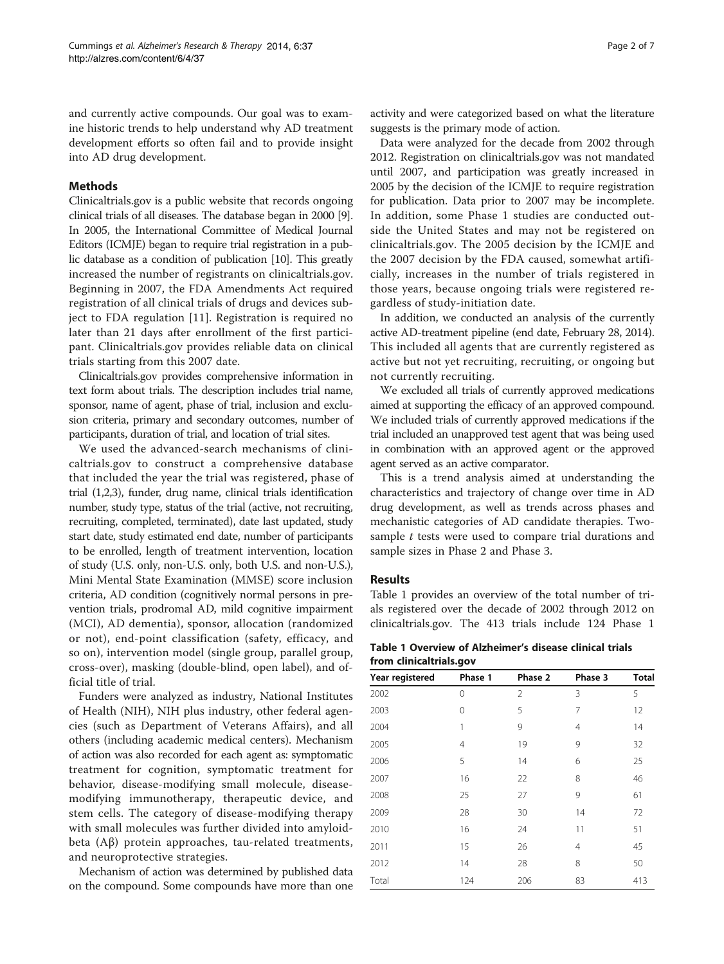## Methods

Clinicaltrials.gov is a public website that records ongoing clinical trials of all diseases. The database began in 2000 [[9](#page-6-0)]. In 2005, the International Committee of Medical Journal Editors (ICMJE) began to require trial registration in a public database as a condition of publication [\[10](#page-6-0)]. This greatly increased the number of registrants on clinicaltrials.gov. Beginning in 2007, the FDA Amendments Act required registration of all clinical trials of drugs and devices subject to FDA regulation [[11\]](#page-6-0). Registration is required no later than 21 days after enrollment of the first participant. Clinicaltrials.gov provides reliable data on clinical trials starting from this 2007 date.

Clinicaltrials.gov provides comprehensive information in text form about trials. The description includes trial name, sponsor, name of agent, phase of trial, inclusion and exclusion criteria, primary and secondary outcomes, number of participants, duration of trial, and location of trial sites.

We used the advanced-search mechanisms of clinicaltrials.gov to construct a comprehensive database that included the year the trial was registered, phase of trial (1,2,3), funder, drug name, clinical trials identification number, study type, status of the trial (active, not recruiting, recruiting, completed, terminated), date last updated, study start date, study estimated end date, number of participants to be enrolled, length of treatment intervention, location of study (U.S. only, non-U.S. only, both U.S. and non-U.S.), Mini Mental State Examination (MMSE) score inclusion criteria, AD condition (cognitively normal persons in prevention trials, prodromal AD, mild cognitive impairment (MCI), AD dementia), sponsor, allocation (randomized or not), end-point classification (safety, efficacy, and so on), intervention model (single group, parallel group, cross-over), masking (double-blind, open label), and official title of trial.

Funders were analyzed as industry, National Institutes of Health (NIH), NIH plus industry, other federal agencies (such as Department of Veterans Affairs), and all others (including academic medical centers). Mechanism of action was also recorded for each agent as: symptomatic treatment for cognition, symptomatic treatment for behavior, disease-modifying small molecule, diseasemodifying immunotherapy, therapeutic device, and stem cells. The category of disease-modifying therapy with small molecules was further divided into amyloidbeta (Aβ) protein approaches, tau-related treatments, and neuroprotective strategies.

Mechanism of action was determined by published data on the compound. Some compounds have more than one

activity and were categorized based on what the literature suggests is the primary mode of action.

Data were analyzed for the decade from 2002 through 2012. Registration on clinicaltrials.gov was not mandated until 2007, and participation was greatly increased in 2005 by the decision of the ICMJE to require registration for publication. Data prior to 2007 may be incomplete. In addition, some Phase 1 studies are conducted outside the United States and may not be registered on clinicaltrials.gov. The 2005 decision by the ICMJE and the 2007 decision by the FDA caused, somewhat artificially, increases in the number of trials registered in those years, because ongoing trials were registered regardless of study-initiation date.

In addition, we conducted an analysis of the currently active AD-treatment pipeline (end date, February 28, 2014). This included all agents that are currently registered as active but not yet recruiting, recruiting, or ongoing but not currently recruiting.

We excluded all trials of currently approved medications aimed at supporting the efficacy of an approved compound. We included trials of currently approved medications if the trial included an unapproved test agent that was being used in combination with an approved agent or the approved agent served as an active comparator.

This is a trend analysis aimed at understanding the characteristics and trajectory of change over time in AD drug development, as well as trends across phases and mechanistic categories of AD candidate therapies. Twosample  $t$  tests were used to compare trial durations and sample sizes in Phase 2 and Phase 3.

## Results

Table 1 provides an overview of the total number of trials registered over the decade of 2002 through 2012 on clinicaltrials.gov. The 413 trials include 124 Phase 1

Table 1 Overview of Alzheimer's disease clinical trials from clinicaltrials.gov

|                 | -        |                |         |              |
|-----------------|----------|----------------|---------|--------------|
| Year registered | Phase 1  | Phase 2        | Phase 3 | <b>Total</b> |
| 2002            | 0        | $\overline{2}$ | 3       | 5            |
| 2003            | $\Omega$ | 5              | 7       | 12           |
| 2004            |          | 9              | 4       | 14           |
| 2005            | 4        | 19             | 9       | 32           |
| 2006            | 5        | 14             | 6       | 25           |
| 2007            | 16       | 22             | 8       | 46           |
| 2008            | 25       | 27             | 9       | 61           |
| 2009            | 28       | 30             | 14      | 72           |
| 2010            | 16       | 24             | 11      | 51           |
| 2011            | 15       | 26             | 4       | 45           |
| 2012            | 14       | 28             | 8       | 50           |
| Total           | 124      | 206            | 83      | 413          |
|                 |          |                |         |              |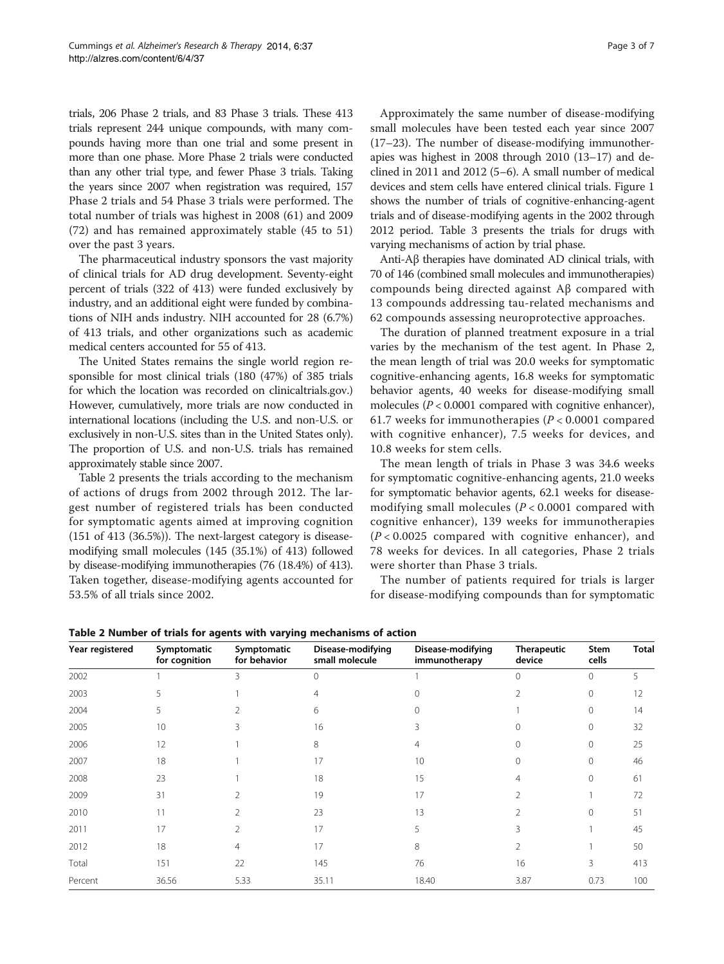trials, 206 Phase 2 trials, and 83 Phase 3 trials. These 413 trials represent 244 unique compounds, with many compounds having more than one trial and some present in more than one phase. More Phase 2 trials were conducted than any other trial type, and fewer Phase 3 trials. Taking the years since 2007 when registration was required, 157 Phase 2 trials and 54 Phase 3 trials were performed. The total number of trials was highest in 2008 (61) and 2009 (72) and has remained approximately stable (45 to 51) over the past 3 years.

The pharmaceutical industry sponsors the vast majority of clinical trials for AD drug development. Seventy-eight percent of trials (322 of 413) were funded exclusively by industry, and an additional eight were funded by combinations of NIH ands industry. NIH accounted for 28 (6.7%) of 413 trials, and other organizations such as academic medical centers accounted for 55 of 413.

The United States remains the single world region responsible for most clinical trials (180 (47%) of 385 trials for which the location was recorded on clinicaltrials.gov.) However, cumulatively, more trials are now conducted in international locations (including the U.S. and non-U.S. or exclusively in non-U.S. sites than in the United States only). The proportion of U.S. and non-U.S. trials has remained approximately stable since 2007.

Table 2 presents the trials according to the mechanism of actions of drugs from 2002 through 2012. The largest number of registered trials has been conducted for symptomatic agents aimed at improving cognition (151 of 413 (36.5%)). The next-largest category is diseasemodifying small molecules (145 (35.1%) of 413) followed by disease-modifying immunotherapies (76 (18.4%) of 413). Taken together, disease-modifying agents accounted for 53.5% of all trials since 2002.

Approximately the same number of disease-modifying small molecules have been tested each year since 2007 (17–23). The number of disease-modifying immunotherapies was highest in 2008 through 2010 (13–17) and declined in 2011 and 2012 (5–6). A small number of medical devices and stem cells have entered clinical trials. Figure [1](#page-3-0) shows the number of trials of cognitive-enhancing-agent trials and of disease-modifying agents in the 2002 through 2012 period. Table [3](#page-3-0) presents the trials for drugs with varying mechanisms of action by trial phase.

Anti-Aβ therapies have dominated AD clinical trials, with 70 of 146 (combined small molecules and immunotherapies) compounds being directed against Aβ compared with 13 compounds addressing tau-related mechanisms and 62 compounds assessing neuroprotective approaches.

The duration of planned treatment exposure in a trial varies by the mechanism of the test agent. In Phase 2, the mean length of trial was 20.0 weeks for symptomatic cognitive-enhancing agents, 16.8 weeks for symptomatic behavior agents, 40 weeks for disease-modifying small molecules ( $P < 0.0001$  compared with cognitive enhancer), 61.7 weeks for immunotherapies ( $P < 0.0001$  compared with cognitive enhancer), 7.5 weeks for devices, and 10.8 weeks for stem cells.

The mean length of trials in Phase 3 was 34.6 weeks for symptomatic cognitive-enhancing agents, 21.0 weeks for symptomatic behavior agents, 62.1 weeks for diseasemodifying small molecules  $(P < 0.0001$  compared with cognitive enhancer), 139 weeks for immunotherapies  $(P < 0.0025$  compared with cognitive enhancer), and 78 weeks for devices. In all categories, Phase 2 trials were shorter than Phase 3 trials.

The number of patients required for trials is larger for disease-modifying compounds than for symptomatic

| Table 2 Number of trials for agents with varying mechanisms of action |  |  |  |  |  |
|-----------------------------------------------------------------------|--|--|--|--|--|
|-----------------------------------------------------------------------|--|--|--|--|--|

| Year registered | Symptomatic<br>for cognition | Symptomatic<br>for behavior | Disease-modifying<br>small molecule | Disease-modifying<br>immunotherapy | <b>Therapeutic</b><br>device | Stem<br>cells | <b>Total</b> |
|-----------------|------------------------------|-----------------------------|-------------------------------------|------------------------------------|------------------------------|---------------|--------------|
| 2002            |                              | 3                           | $\Omega$                            |                                    | $\Omega$                     | $\Omega$      | 5            |
| 2003            |                              |                             | 4                                   |                                    | 2                            | 0             | 12           |
| 2004            | 5                            |                             | 6                                   |                                    |                              | $\Omega$      | 14           |
| 2005            | 10                           |                             | 16                                  |                                    | $\Omega$                     | $\mathbf{0}$  | 32           |
| 2006            | 12                           |                             | 8                                   |                                    | $\Omega$                     | $\Omega$      | 25           |
| 2007            | 18                           |                             | 17                                  | 10                                 | $\Omega$                     | $\Omega$      | 46           |
| 2008            | 23                           |                             | 18                                  | 15                                 |                              | $\Omega$      | 61           |
| 2009            | 31                           |                             | 19                                  | 17                                 | 2                            |               | 72           |
| 2010            | 11                           |                             | 23                                  | 13                                 | $\mathfrak{D}$               | $\Omega$      | 51           |
| 2011            | 17                           | $\mathcal{P}$               | 17                                  | 5                                  | ς                            |               | 45           |
| 2012            | 18                           |                             | 17                                  | 8                                  | $\mathfrak{D}$               |               | 50           |
| Total           | 151                          | 22                          | 145                                 | 76                                 | 16                           | 3             | 413          |
| Percent         | 36.56                        | 5.33                        | 35.11                               | 18.40                              | 3.87                         | 0.73          | 100          |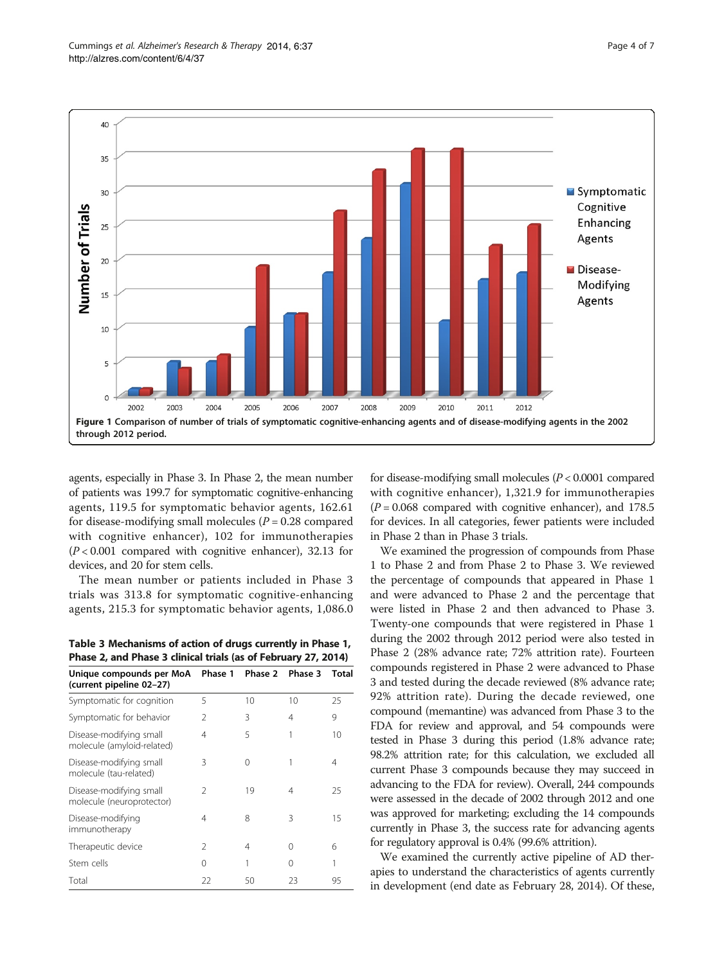<span id="page-3-0"></span>

agents, especially in Phase 3. In Phase 2, the mean number of patients was 199.7 for symptomatic cognitive-enhancing agents, 119.5 for symptomatic behavior agents, 162.61 for disease-modifying small molecules  $(P = 0.28$  compared with cognitive enhancer), 102 for immunotherapies  $(P < 0.001$  compared with cognitive enhancer), 32.13 for devices, and 20 for stem cells.

The mean number or patients included in Phase 3 trials was 313.8 for symptomatic cognitive-enhancing agents, 215.3 for symptomatic behavior agents, 1,086.0

Table 3 Mechanisms of action of drugs currently in Phase 1, Phase 2, and Phase 3 clinical trials (as of February 27, 2014)

| Unique compounds per MoA<br>(current pipeline 02-27)  | Phase 1 | Phase 2 | Phase 3        | Total |
|-------------------------------------------------------|---------|---------|----------------|-------|
| Symptomatic for cognition                             | 5       | 10      | 10             | 25    |
| Symptomatic for behavior                              | 2       | 3       | $\overline{4}$ | 9     |
| Disease-modifying small<br>molecule (amyloid-related) | 4       | 5       |                | 10    |
| Disease-modifying small<br>molecule (tau-related)     | 3       | 0       |                | 4     |
| Disease-modifying small<br>molecule (neuroprotector)  | 2       | 19      | 4              | 25    |
| Disease-modifying<br>immunotherapy                    | 4       | 8       | 3              | 15    |
| Therapeutic device                                    | C,      | 4       | 0              | 6     |
| Stem cells                                            | 0       | 1       | 0              | 1     |
| Total                                                 | 22      | 50      | 23             | 95    |

for disease-modifying small molecules (P < 0.0001 compared with cognitive enhancer), 1,321.9 for immunotherapies  $(P = 0.068$  compared with cognitive enhancer), and 178.5 for devices. In all categories, fewer patients were included in Phase 2 than in Phase 3 trials.

We examined the progression of compounds from Phase 1 to Phase 2 and from Phase 2 to Phase 3. We reviewed the percentage of compounds that appeared in Phase 1 and were advanced to Phase 2 and the percentage that were listed in Phase 2 and then advanced to Phase 3. Twenty-one compounds that were registered in Phase 1 during the 2002 through 2012 period were also tested in Phase 2 (28% advance rate; 72% attrition rate). Fourteen compounds registered in Phase 2 were advanced to Phase 3 and tested during the decade reviewed (8% advance rate; 92% attrition rate). During the decade reviewed, one compound (memantine) was advanced from Phase 3 to the FDA for review and approval, and 54 compounds were tested in Phase 3 during this period (1.8% advance rate; 98.2% attrition rate; for this calculation, we excluded all current Phase 3 compounds because they may succeed in advancing to the FDA for review). Overall, 244 compounds were assessed in the decade of 2002 through 2012 and one was approved for marketing; excluding the 14 compounds currently in Phase 3, the success rate for advancing agents for regulatory approval is 0.4% (99.6% attrition).

We examined the currently active pipeline of AD therapies to understand the characteristics of agents currently in development (end date as February 28, 2014). Of these,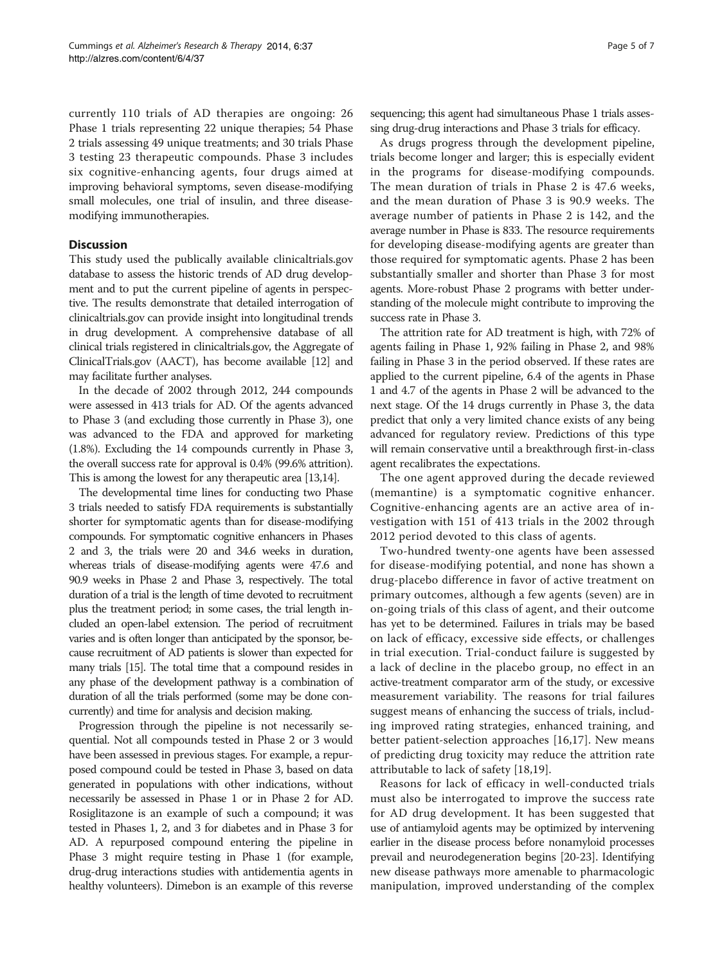currently 110 trials of AD therapies are ongoing: 26 Phase 1 trials representing 22 unique therapies; 54 Phase 2 trials assessing 49 unique treatments; and 30 trials Phase 3 testing 23 therapeutic compounds. Phase 3 includes six cognitive-enhancing agents, four drugs aimed at improving behavioral symptoms, seven disease-modifying small molecules, one trial of insulin, and three diseasemodifying immunotherapies.

## **Discussion**

This study used the publically available clinicaltrials.gov database to assess the historic trends of AD drug development and to put the current pipeline of agents in perspective. The results demonstrate that detailed interrogation of clinicaltrials.gov can provide insight into longitudinal trends in drug development. A comprehensive database of all clinical trials registered in clinicaltrials.gov, the Aggregate of ClinicalTrials.gov (AACT), has become available [\[12\]](#page-6-0) and may facilitate further analyses.

In the decade of 2002 through 2012, 244 compounds were assessed in 413 trials for AD. Of the agents advanced to Phase 3 (and excluding those currently in Phase 3), one was advanced to the FDA and approved for marketing (1.8%). Excluding the 14 compounds currently in Phase 3, the overall success rate for approval is 0.4% (99.6% attrition). This is among the lowest for any therapeutic area [[13,14](#page-6-0)].

The developmental time lines for conducting two Phase 3 trials needed to satisfy FDA requirements is substantially shorter for symptomatic agents than for disease-modifying compounds. For symptomatic cognitive enhancers in Phases 2 and 3, the trials were 20 and 34.6 weeks in duration, whereas trials of disease-modifying agents were 47.6 and 90.9 weeks in Phase 2 and Phase 3, respectively. The total duration of a trial is the length of time devoted to recruitment plus the treatment period; in some cases, the trial length included an open-label extension. The period of recruitment varies and is often longer than anticipated by the sponsor, because recruitment of AD patients is slower than expected for many trials [\[15](#page-6-0)]. The total time that a compound resides in any phase of the development pathway is a combination of duration of all the trials performed (some may be done concurrently) and time for analysis and decision making.

Progression through the pipeline is not necessarily sequential. Not all compounds tested in Phase 2 or 3 would have been assessed in previous stages. For example, a repurposed compound could be tested in Phase 3, based on data generated in populations with other indications, without necessarily be assessed in Phase 1 or in Phase 2 for AD. Rosiglitazone is an example of such a compound; it was tested in Phases 1, 2, and 3 for diabetes and in Phase 3 for AD. A repurposed compound entering the pipeline in Phase 3 might require testing in Phase 1 (for example, drug-drug interactions studies with antidementia agents in healthy volunteers). Dimebon is an example of this reverse

sequencing; this agent had simultaneous Phase 1 trials assessing drug-drug interactions and Phase 3 trials for efficacy.

As drugs progress through the development pipeline, trials become longer and larger; this is especially evident in the programs for disease-modifying compounds. The mean duration of trials in Phase 2 is 47.6 weeks, and the mean duration of Phase 3 is 90.9 weeks. The average number of patients in Phase 2 is 142, and the average number in Phase is 833. The resource requirements for developing disease-modifying agents are greater than those required for symptomatic agents. Phase 2 has been substantially smaller and shorter than Phase 3 for most agents. More-robust Phase 2 programs with better understanding of the molecule might contribute to improving the success rate in Phase 3.

The attrition rate for AD treatment is high, with 72% of agents failing in Phase 1, 92% failing in Phase 2, and 98% failing in Phase 3 in the period observed. If these rates are applied to the current pipeline, 6.4 of the agents in Phase 1 and 4.7 of the agents in Phase 2 will be advanced to the next stage. Of the 14 drugs currently in Phase 3, the data predict that only a very limited chance exists of any being advanced for regulatory review. Predictions of this type will remain conservative until a breakthrough first-in-class agent recalibrates the expectations.

The one agent approved during the decade reviewed (memantine) is a symptomatic cognitive enhancer. Cognitive-enhancing agents are an active area of investigation with 151 of 413 trials in the 2002 through 2012 period devoted to this class of agents.

Two-hundred twenty-one agents have been assessed for disease-modifying potential, and none has shown a drug-placebo difference in favor of active treatment on primary outcomes, although a few agents (seven) are in on-going trials of this class of agent, and their outcome has yet to be determined. Failures in trials may be based on lack of efficacy, excessive side effects, or challenges in trial execution. Trial-conduct failure is suggested by a lack of decline in the placebo group, no effect in an active-treatment comparator arm of the study, or excessive measurement variability. The reasons for trial failures suggest means of enhancing the success of trials, including improved rating strategies, enhanced training, and better patient-selection approaches [[16,17\]](#page-6-0). New means of predicting drug toxicity may reduce the attrition rate attributable to lack of safety [[18,19](#page-6-0)].

Reasons for lack of efficacy in well-conducted trials must also be interrogated to improve the success rate for AD drug development. It has been suggested that use of antiamyloid agents may be optimized by intervening earlier in the disease process before nonamyloid processes prevail and neurodegeneration begins [\[20-23\]](#page-6-0). Identifying new disease pathways more amenable to pharmacologic manipulation, improved understanding of the complex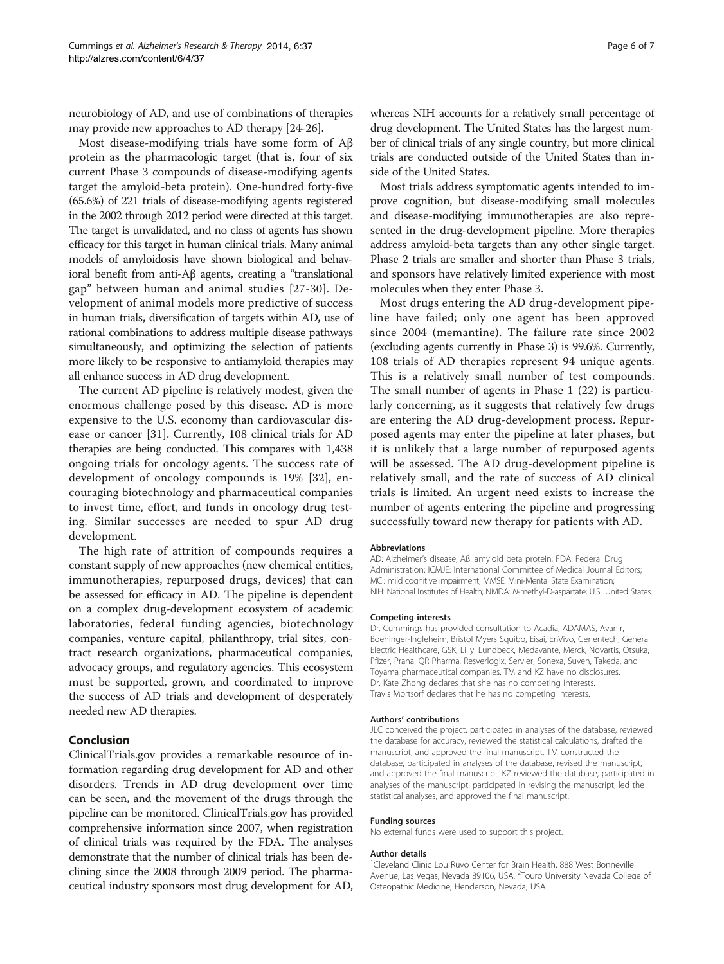neurobiology of AD, and use of combinations of therapies may provide new approaches to AD therapy [\[24](#page-6-0)-[26](#page-6-0)].

Most disease-modifying trials have some form of Aβ protein as the pharmacologic target (that is, four of six current Phase 3 compounds of disease-modifying agents target the amyloid-beta protein). One-hundred forty-five (65.6%) of 221 trials of disease-modifying agents registered in the 2002 through 2012 period were directed at this target. The target is unvalidated, and no class of agents has shown efficacy for this target in human clinical trials. Many animal models of amyloidosis have shown biological and behavioral benefit from anti-Aβ agents, creating a "translational gap" between human and animal studies [\[27](#page-6-0)-[30](#page-6-0)]. Development of animal models more predictive of success in human trials, diversification of targets within AD, use of rational combinations to address multiple disease pathways simultaneously, and optimizing the selection of patients more likely to be responsive to antiamyloid therapies may all enhance success in AD drug development.

The current AD pipeline is relatively modest, given the enormous challenge posed by this disease. AD is more expensive to the U.S. economy than cardiovascular disease or cancer [[31\]](#page-6-0). Currently, 108 clinical trials for AD therapies are being conducted. This compares with 1,438 ongoing trials for oncology agents. The success rate of development of oncology compounds is 19% [\[32](#page-6-0)], encouraging biotechnology and pharmaceutical companies to invest time, effort, and funds in oncology drug testing. Similar successes are needed to spur AD drug development.

The high rate of attrition of compounds requires a constant supply of new approaches (new chemical entities, immunotherapies, repurposed drugs, devices) that can be assessed for efficacy in AD. The pipeline is dependent on a complex drug-development ecosystem of academic laboratories, federal funding agencies, biotechnology companies, venture capital, philanthropy, trial sites, contract research organizations, pharmaceutical companies, advocacy groups, and regulatory agencies. This ecosystem must be supported, grown, and coordinated to improve the success of AD trials and development of desperately needed new AD therapies.

## Conclusion

ClinicalTrials.gov provides a remarkable resource of information regarding drug development for AD and other disorders. Trends in AD drug development over time can be seen, and the movement of the drugs through the pipeline can be monitored. ClinicalTrials.gov has provided comprehensive information since 2007, when registration of clinical trials was required by the FDA. The analyses demonstrate that the number of clinical trials has been declining since the 2008 through 2009 period. The pharmaceutical industry sponsors most drug development for AD,

whereas NIH accounts for a relatively small percentage of drug development. The United States has the largest number of clinical trials of any single country, but more clinical trials are conducted outside of the United States than inside of the United States.

Most trials address symptomatic agents intended to improve cognition, but disease-modifying small molecules and disease-modifying immunotherapies are also represented in the drug-development pipeline. More therapies address amyloid-beta targets than any other single target. Phase 2 trials are smaller and shorter than Phase 3 trials, and sponsors have relatively limited experience with most molecules when they enter Phase 3.

Most drugs entering the AD drug-development pipeline have failed; only one agent has been approved since 2004 (memantine). The failure rate since 2002 (excluding agents currently in Phase 3) is 99.6%. Currently, 108 trials of AD therapies represent 94 unique agents. This is a relatively small number of test compounds. The small number of agents in Phase 1 (22) is particularly concerning, as it suggests that relatively few drugs are entering the AD drug-development process. Repurposed agents may enter the pipeline at later phases, but it is unlikely that a large number of repurposed agents will be assessed. The AD drug-development pipeline is relatively small, and the rate of success of AD clinical trials is limited. An urgent need exists to increase the number of agents entering the pipeline and progressing successfully toward new therapy for patients with AD.

#### Abbreviations

AD: Alzheimer's disease; Aß: amyloid beta protein; FDA: Federal Drug Administration; ICMJE: International Committee of Medical Journal Editors; MCI: mild cognitive impairment; MMSE: Mini-Mental State Examination; NIH: National Institutes of Health; NMDA: N-methyl-D-aspartate; U.S.: United States.

#### Competing interests

Dr. Cummings has provided consultation to Acadia, ADAMAS, Avanir, Boehinger-Ingleheim, Bristol Myers Squibb, Eisai, EnVivo, Genentech, General Electric Healthcare, GSK, Lilly, Lundbeck, Medavante, Merck, Novartis, Otsuka, Pfizer, Prana, QR Pharma, Resverlogix, Servier, Sonexa, Suven, Takeda, and Toyama pharmaceutical companies. TM and KZ have no disclosures. Dr. Kate Zhong declares that she has no competing interests. Travis Mortsorf declares that he has no competing interests.

#### Authors' contributions

JLC conceived the project, participated in analyses of the database, reviewed the database for accuracy, reviewed the statistical calculations, drafted the manuscript, and approved the final manuscript. TM constructed the database, participated in analyses of the database, revised the manuscript, and approved the final manuscript. KZ reviewed the database, participated in analyses of the manuscript, participated in revising the manuscript, led the statistical analyses, and approved the final manuscript.

#### Funding sources

No external funds were used to support this project.

#### Author details

<sup>1</sup> Cleveland Clinic Lou Ruvo Center for Brain Health, 888 West Bonneville Avenue, Las Vegas, Nevada 89106, USA. <sup>2</sup> Touro University Nevada College of Osteopathic Medicine, Henderson, Nevada, USA.